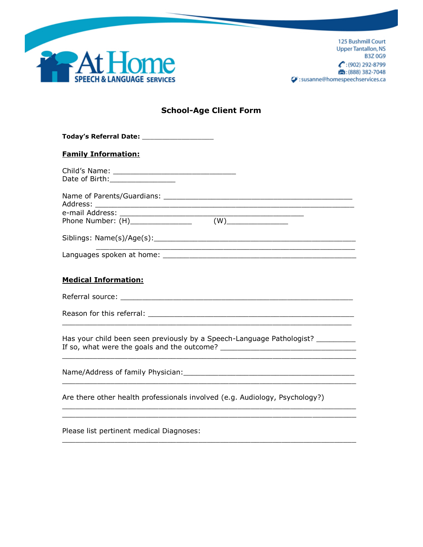

125 Bushmill Court **Upper Tantallon, NS B3Z0G9**  $\bullet$ : (902) 292-8799 ■: (888) 382-7048 Susanne@homespeechservices.ca

# **School-Age Client Form**

| <b>Family Information:</b>       |  |
|----------------------------------|--|
| Date of Birth: _________________ |  |
|                                  |  |
|                                  |  |
|                                  |  |
| <b>Medical Information:</b>      |  |

Referral source: \_\_\_\_\_\_\_\_\_\_\_\_\_\_\_\_\_\_\_\_\_\_\_\_\_\_\_\_\_\_\_\_\_\_\_\_\_\_\_\_\_\_\_\_\_\_\_\_\_\_\_\_\_

 $\_$  ,  $\_$  ,  $\_$  ,  $\_$  ,  $\_$  ,  $\_$  ,  $\_$  ,  $\_$  ,  $\_$  ,  $\_$  ,  $\_$  ,  $\_$  ,  $\_$  ,  $\_$  ,  $\_$  ,  $\_$  ,  $\_$  ,  $\_$  ,  $\_$  ,  $\_$ 

 $\_$  ,  $\_$  ,  $\_$  ,  $\_$  ,  $\_$  ,  $\_$  ,  $\_$  ,  $\_$  ,  $\_$  ,  $\_$  ,  $\_$  ,  $\_$  ,  $\_$  ,  $\_$  ,  $\_$  ,  $\_$  ,  $\_$  ,  $\_$  ,  $\_$  ,  $\_$ 

 $\overline{a}$  ,  $\overline{a}$  ,  $\overline{a}$  ,  $\overline{a}$  ,  $\overline{a}$  ,  $\overline{a}$  ,  $\overline{a}$  ,  $\overline{a}$  ,  $\overline{a}$  ,  $\overline{a}$  ,  $\overline{a}$  ,  $\overline{a}$  ,  $\overline{a}$  ,  $\overline{a}$  ,  $\overline{a}$  ,  $\overline{a}$  ,  $\overline{a}$  ,  $\overline{a}$  ,  $\overline{a}$  ,  $\overline{a}$  ,  $\_$  ,  $\_$  ,  $\_$  ,  $\_$  ,  $\_$  ,  $\_$  ,  $\_$  ,  $\_$  ,  $\_$  ,  $\_$  ,  $\_$  ,  $\_$  ,  $\_$  ,  $\_$  ,  $\_$  ,  $\_$  ,  $\_$  ,  $\_$  ,  $\_$  ,  $\_$ 

 $\overline{\phantom{a}}$  , and the contract of the contract of the contract of the contract of the contract of the contract of the contract of the contract of the contract of the contract of the contract of the contract of the contrac

\_\_\_\_\_\_\_\_\_\_\_\_\_\_\_\_\_\_\_\_\_\_\_\_\_\_\_\_\_\_\_\_\_\_\_\_\_\_\_\_\_\_\_\_\_\_\_\_\_\_\_\_\_\_\_\_\_\_\_\_\_\_\_\_\_\_\_

Reason for this referral: \_\_\_\_\_\_\_\_\_\_\_\_\_\_\_\_\_\_\_\_\_\_\_\_\_\_\_\_\_\_\_\_\_\_\_\_\_\_\_\_\_\_\_\_\_\_\_

Has your child been seen previously by a Speech-Language Pathologist? \_\_\_\_\_\_\_\_\_\_ If so, what were the goals and the outcome? \_\_\_\_\_\_\_\_\_\_\_\_\_\_\_\_\_\_\_\_\_\_\_\_\_\_\_\_\_\_\_

Name/Address of family Physician:\_\_\_\_\_\_\_\_\_\_\_\_\_\_\_\_\_\_\_\_\_\_\_\_\_\_\_\_\_\_\_\_\_\_\_\_\_\_\_

Are there other health professionals involved (e.g. Audiology, Psychology?)

Please list pertinent medical Diagnoses: